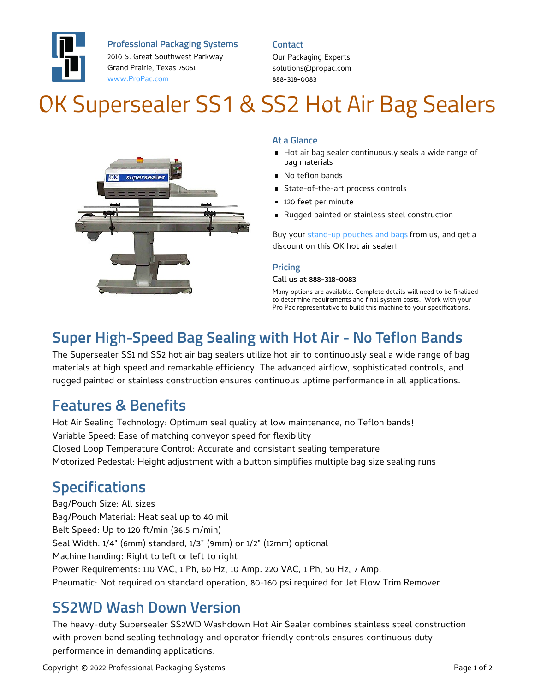

**Professional Packaging Systems**

2010 S. Great Southwest Parkway Grand Prairie, Texas 75051 [www.ProPac.com](https://www.propac.com/)

#### **Contact**

Our Packaging Experts solutions@propac.com 888-318-0083

# OK Supersealer SS1 & SS2 Hot Air Bag Sealers



#### **At a Glance**

- Hot air bag sealer continuously seals a wide range of bag materials
- **No teflon bands**
- State-of-the-art process controls
- 120 feet per minute
- Rugged painted or stainless steel construction

Buy your [stand-up](file:///custom-materials/wicket-bags-pouches/) pouches and bags from us, and get a discount on this OK hot air sealer!

#### **Pricing**

#### Call us at 888-318-0083

Many options are available. Complete details will need to be finalized to determine requirements and final system costs. Work with your Pro Pac representative to build this machine to your specifications.

### **Super High-Speed Bag Sealing with Hot Air - No Teflon Bands**

The Supersealer SS1 nd SS2 hot air bag sealers utilize hot air to continuously seal a wide range of bag materials at high speed and remarkable efficiency. The advanced airflow, sophisticated controls, and rugged painted or stainless construction ensures continuous uptime performance in all applications.

### **Features & Benefits**

Hot Air Sealing Technology: Optimum seal quality at low maintenance, no Teflon bands! Variable Speed: Ease of matching conveyor speed for flexibility Closed Loop Temperature Control: Accurate and consistant sealing temperature Motorized Pedestal: Height adjustment with a button simplifies multiple bag size sealing runs

### **Specifications**

Bag/Pouch Size: All sizes Bag/Pouch Material: Heat seal up to 40 mil Belt Speed: Up to 120 ft/min (36.5 m/min) Seal Width: 1/4" (6mm) standard, 1/3" (9mm) or 1/2" (12mm) optional Machine handing: Right to left or left to right Power Requirements: 110 VAC, 1 Ph, 60 Hz, 10 Amp. 220 VAC, 1 Ph, 50 Hz, 7 Amp. Pneumatic: Not required on standard operation, 80-160 psi required for Jet Flow Trim Remover

### **SS2WD Wash Down Version**

The heavy-duty Supersealer SS2WD Washdown Hot Air Sealer combines stainless steel construction with proven band sealing technology and operator friendly controls ensures continuous duty performance in demanding applications.